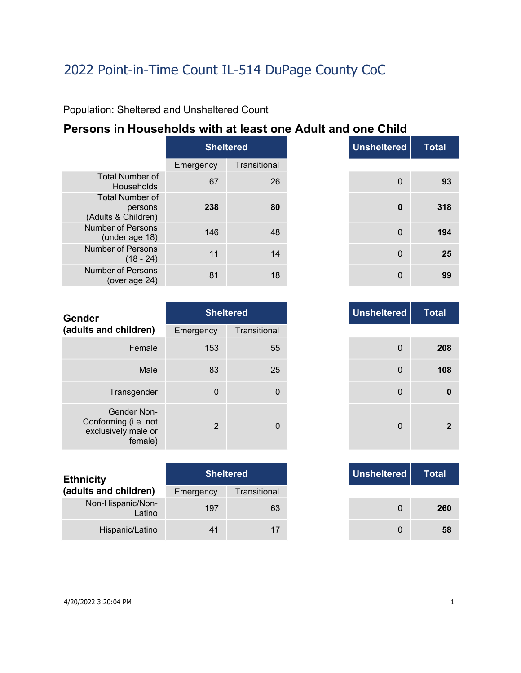Population: Sheltered and Unsheltered Count

### **Persons in Households with at least one Adult and one Child**

|                                                          | <b>Sheltered</b> |              |  |
|----------------------------------------------------------|------------------|--------------|--|
|                                                          | Emergency        | Transitional |  |
| <b>Total Number of</b><br>Households                     | 67               | 26           |  |
| <b>Total Number of</b><br>persons<br>(Adults & Children) | 238              | 80           |  |
| Number of Persons<br>(under age 18)                      | 146              | 48           |  |
| Number of Persons<br>$(18 - 24)$                         | 11               | 14           |  |
| Number of Persons<br>(over age $24$ )                    | 81               | 18           |  |

| <b>Unsheltered</b><br><b>Sheltered</b><br>Transitional<br>ncy<br>26<br>$\mathbf 0$<br>80<br>0<br>48<br>$\mathbf 0$<br>14<br>$\mathbf 0$<br>18<br>0 |  |
|----------------------------------------------------------------------------------------------------------------------------------------------------|--|
|                                                                                                                                                    |  |
| 67                                                                                                                                                 |  |
| 238<br>146<br>11<br>81                                                                                                                             |  |
|                                                                                                                                                    |  |
|                                                                                                                                                    |  |
|                                                                                                                                                    |  |
|                                                                                                                                                    |  |

| <b>Gender</b>                                                         |             | <b>Sheltered</b> | <b>Unsheltered</b> |
|-----------------------------------------------------------------------|-------------|------------------|--------------------|
| (adults and children)                                                 | Emergency   | Transitional     |                    |
| Female                                                                | 153         | 55               | $\mathbf 0$        |
| Male                                                                  | 83          | 25               | $\Omega$           |
| Transgender                                                           | $\mathbf 0$ | 0                | $\mathbf 0$        |
| Gender Non-<br>Conforming (i.e. not<br>exclusively male or<br>female) | 2           | 0                | $\Omega$           |

| <b>Ethnicity</b>            |           | <b>Sheltered</b> |
|-----------------------------|-----------|------------------|
| (adults and children)       | Emergency | Transitional     |
| Non-Hispanic/Non-<br>Latino | 197       | 63               |
| Hispanic/Latino             | 41        |                  |

| <b>Unsheltered</b> | <b>Sheltered</b> |                |
|--------------------|------------------|----------------|
|                    | Transitional     | าcy            |
| 0                  | 55               | 153            |
| 0                  | 25               | 83             |
| 0                  | $\mathbf 0$      | $\Omega$       |
| 0                  | 0                | $\overline{2}$ |

|     | <b>Sheltered</b> |
|-----|------------------|
| ιсγ | Transitional     |
| 197 | 63               |
| 41  | 17               |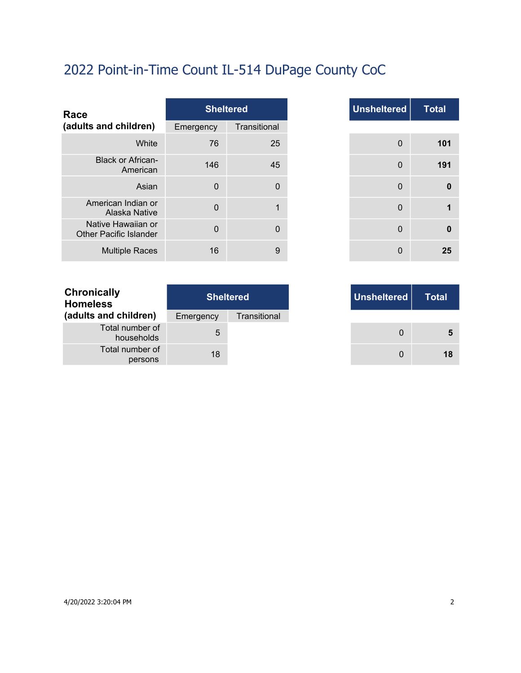| Race                                                |             | <b>Sheltered</b> |
|-----------------------------------------------------|-------------|------------------|
| (adults and children)                               | Emergency   | Transitional     |
| White                                               | 76          | 25               |
| <b>Black or African-</b><br>American                | 146         | 45               |
| Asian                                               | $\Omega$    | $\overline{0}$   |
| American Indian or<br>Alaska Native                 | $\Omega$    |                  |
| Native Hawaiian or<br><b>Other Pacific Islander</b> | $\mathbf 0$ | $\mathbf{0}$     |
| <b>Multiple Races</b>                               | 16          | 9                |

|                | <b>Sheltered</b> |
|----------------|------------------|
| าcy            | Transitional     |
| 76             | 25               |
| 146            | 45               |
| $\mathbf 0$    | $\mathbf 0$      |
| $\mathbf 0$    | 1                |
| $\overline{0}$ | 0                |
| 16             | 9                |

| Sheltered <sub>l</sub> | Unsheltered |
|------------------------|-------------|
| Transitional           |             |
|                        |             |
|                        |             |

| <b>Chronically</b><br><b>Homeless</b> | <b>Sheltered</b> |              |  |
|---------------------------------------|------------------|--------------|--|
| (adults and children)                 | Emergency        | Transitional |  |
| Total number of<br>households         | 5                |              |  |
| Total number of<br>persons            | 18               |              |  |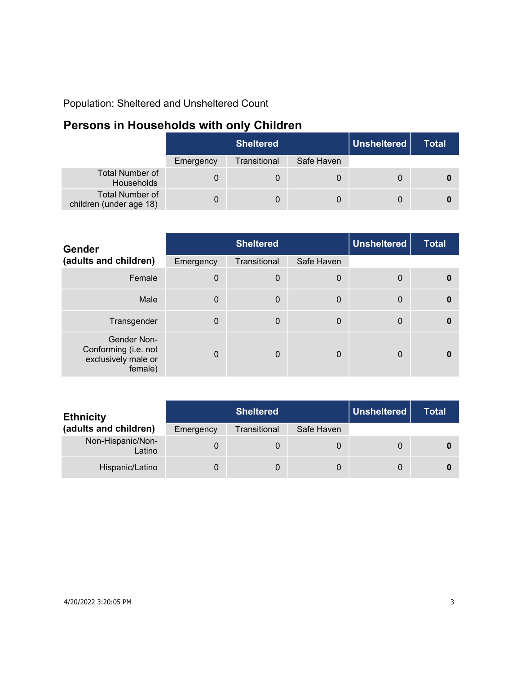Population: Sheltered and Unsheltered Count

## **Persons in Households with only Children**

|                                                   | <b>Sheltered</b> |              |            | Unsheltered | Total |
|---------------------------------------------------|------------------|--------------|------------|-------------|-------|
|                                                   | Emergency        | Transitional | Safe Haven |             |       |
| <b>Total Number of</b><br>Households              |                  |              |            |             |       |
| <b>Total Number of</b><br>children (under age 18) |                  | 0            | 0          |             |       |

| Gender                                                                | <b>Sheltered</b> |                  |             | <b>Unsheltered</b> | <b>Total</b> |
|-----------------------------------------------------------------------|------------------|------------------|-------------|--------------------|--------------|
| (adults and children)                                                 | Emergency        | Transitional     | Safe Haven  |                    |              |
| Female                                                                | $\Omega$         | $\boldsymbol{0}$ | 0           | 0                  | $\mathbf{0}$ |
| Male                                                                  | $\Omega$         | $\mathbf 0$      | $\mathbf 0$ | $\mathbf{0}$       | $\mathbf{0}$ |
| Transgender                                                           | $\Omega$         | $\mathbf 0$      | 0           | 0                  | $\mathbf{0}$ |
| Gender Non-<br>Conforming (i.e. not<br>exclusively male or<br>female) | $\Omega$         | $\Omega$         | 0           | 0                  | n            |

| <b>Ethnicity</b>            | <b>Sheltered</b> |              |            | Unsheltered | Total |
|-----------------------------|------------------|--------------|------------|-------------|-------|
| (adults and children)       | Emergency        | Transitional | Safe Haven |             |       |
| Non-Hispanic/Non-<br>Latino |                  | 0            | 0          |             |       |
| Hispanic/Latino             |                  | 0            | 0          |             |       |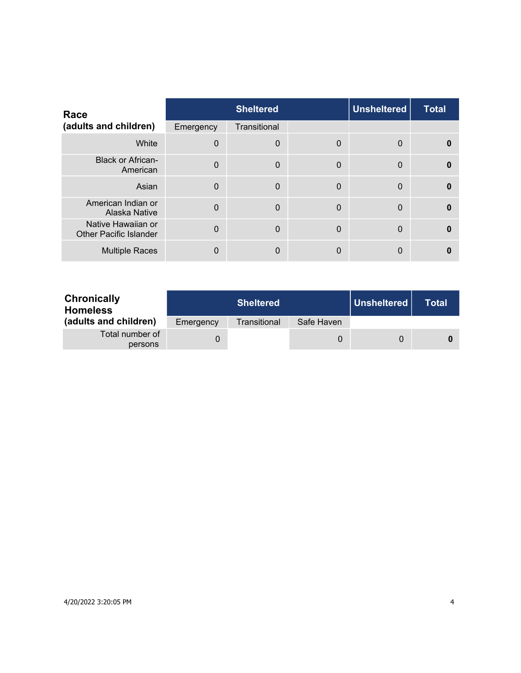| Race                                                |              | <b>Sheltered</b> |             | <b>Unsheltered</b> | <b>Total</b> |
|-----------------------------------------------------|--------------|------------------|-------------|--------------------|--------------|
| (adults and children)                               | Emergency    | Transitional     |             |                    |              |
| White                                               | $\mathbf{0}$ | $\mathbf 0$      | 0           | 0                  | 0            |
| <b>Black or African-</b><br>American                | $\mathbf{0}$ | $\mathbf 0$      | $\mathbf 0$ | $\mathbf{0}$       | $\Omega$     |
| Asian                                               | $\mathbf{0}$ | $\overline{0}$   | $\Omega$    | $\mathbf{0}$       | $\bf{0}$     |
| American Indian or<br>Alaska Native                 | $\Omega$     | $\mathbf 0$      | $\mathbf 0$ | $\mathbf{0}$       | $\Omega$     |
| Native Hawaiian or<br><b>Other Pacific Islander</b> | $\Omega$     | $\mathbf{0}$     | $\Omega$    | $\mathbf{0}$       | $\Omega$     |
| <b>Multiple Races</b>                               | 0            | $\mathbf{0}$     | 0           | 0                  |              |

| <b>Chronically</b><br><b>Homeless</b> |           | <b>Sheltered</b> |            | Unsheltered | Total |
|---------------------------------------|-----------|------------------|------------|-------------|-------|
| (adults and children)                 | Emergency | Transitional     | Safe Haven |             |       |
| Total number of<br>persons            |           |                  | 0          | $\Omega$    |       |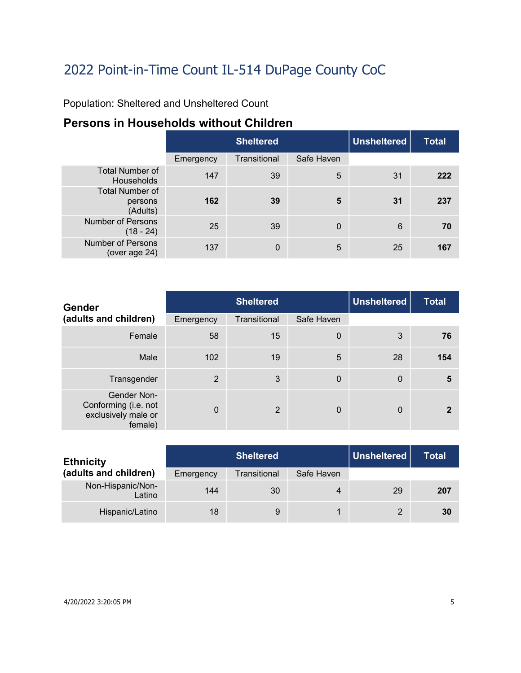Population: Sheltered and Unsheltered Count

### **Persons in Households without Children**

|                                               | <b>Sheltered</b> |              |            | Unsheltered | <b>Total</b> |
|-----------------------------------------------|------------------|--------------|------------|-------------|--------------|
|                                               | Emergency        | Transitional | Safe Haven |             |              |
| <b>Total Number of</b><br><b>Households</b>   | 147              | 39           | 5          | 31          | 222          |
| <b>Total Number of</b><br>persons<br>(Adults) | 162              | 39           | 5          | 31          | 237          |
| <b>Number of Persons</b><br>$(18 - 24)$       | 25               | 39           | $\Omega$   | 6           | 70           |
| <b>Number of Persons</b><br>(over age 24)     | 137              | 0            | 5          | 25          | 167          |

| <b>Gender</b>                                                         | <b>Sheltered</b> |                |             | <b>Unsheltered</b> | <b>Total</b> |
|-----------------------------------------------------------------------|------------------|----------------|-------------|--------------------|--------------|
| (adults and children)                                                 | Emergency        | Transitional   | Safe Haven  |                    |              |
| Female                                                                | 58               | 15             | $\mathbf 0$ | 3                  | 76           |
| Male                                                                  | 102              | 19             | 5           | 28                 | 154          |
| Transgender                                                           | 2                | 3              | $\mathbf 0$ | $\mathbf 0$        | 5            |
| Gender Non-<br>Conforming (i.e. not<br>exclusively male or<br>female) | $\mathbf{0}$     | $\overline{2}$ | $\Omega$    | $\mathbf{0}$       | 2            |

| <b>Ethnicity</b>            | <b>Sheltered</b> |              |            | Unsheltered | <b>Total</b> |
|-----------------------------|------------------|--------------|------------|-------------|--------------|
| (adults and children)       | Emergency        | Transitional | Safe Haven |             |              |
| Non-Hispanic/Non-<br>Latino | 144              | 30           | 4          | 29          | 207          |
| Hispanic/Latino             | 18               | 9            |            | 2           | 30           |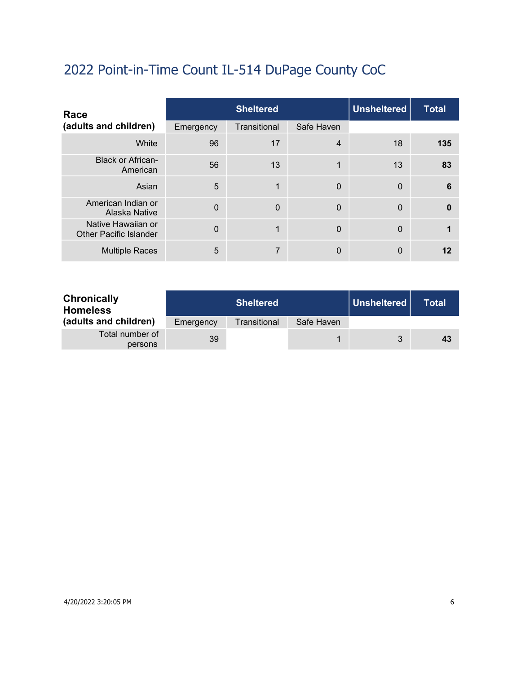| Race                                                |           | <b>Sheltered</b> |             |              | <b>Total</b> |
|-----------------------------------------------------|-----------|------------------|-------------|--------------|--------------|
| (adults and children)                               | Emergency | Transitional     | Safe Haven  |              |              |
| White                                               | 96        | 17               | 4           | 18           | 135          |
| <b>Black or African-</b><br>American                | 56        | 13               | 1           | 13           | 83           |
| Asian                                               | 5         | 1                | $\Omega$    | $\mathbf{0}$ | 6            |
| American Indian or<br>Alaska Native                 | $\Omega$  | $\mathbf 0$      | $\Omega$    | $\mathbf{0}$ | $\Omega$     |
| Native Hawaiian or<br><b>Other Pacific Islander</b> | $\Omega$  | 1                | $\mathbf 0$ | $\mathbf{0}$ |              |
| <b>Multiple Races</b>                               | 5         | 7                | 0           | $\Omega$     | 12           |

| <b>Chronically</b><br><b>Homeless</b> |           | <b>Sheltered</b> |            | ∣ Unsheltered ∣ | Total |
|---------------------------------------|-----------|------------------|------------|-----------------|-------|
| (adults and children)                 | Emergency | Transitional     | Safe Haven |                 |       |
| Total number of<br>persons            | 39        |                  |            | 3               | 43    |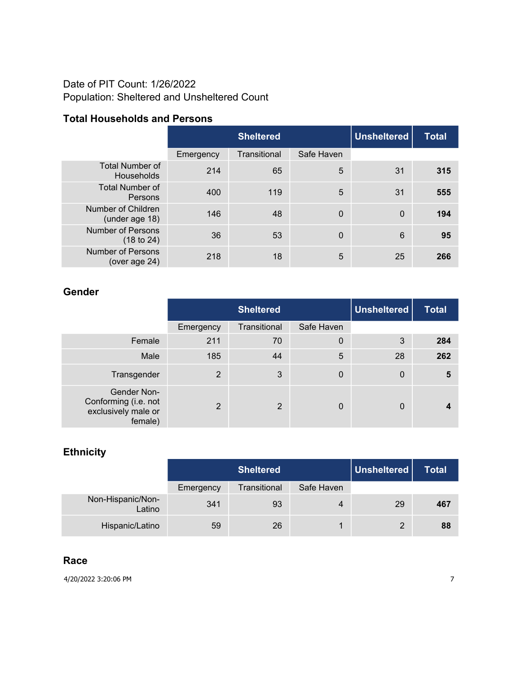### Date of PIT Count: 1/26/2022 Population: Sheltered and Unsheltered Count

### **Total Households and Persons**

|                                             |           | <b>Sheltered</b> |            |              | <b>Total</b> |
|---------------------------------------------|-----------|------------------|------------|--------------|--------------|
|                                             | Emergency | Transitional     | Safe Haven |              |              |
| <b>Total Number of</b><br><b>Households</b> | 214       | 65               | 5          | 31           | 315          |
| <b>Total Number of</b><br>Persons           | 400       | 119              | 5          | 31           | 555          |
| Number of Children<br>(under age 18)        | 146       | 48               | 0          | $\mathbf{0}$ | 194          |
| <b>Number of Persons</b><br>(18 to 24)      | 36        | 53               | 0          | 6            | 95           |
| <b>Number of Persons</b><br>(over age 24)   | 218       | 18               | 5          | 25           | 266          |

#### **Gender**

|                                                                       | <b>Sheltered</b> |              |             | <b>Unsheltered</b> | <b>Total</b> |
|-----------------------------------------------------------------------|------------------|--------------|-------------|--------------------|--------------|
|                                                                       | Emergency        | Transitional | Safe Haven  |                    |              |
| Female                                                                | 211              | 70           | $\mathbf 0$ | 3                  | 284          |
| Male                                                                  | 185              | 44           | 5           | 28                 | 262          |
| Transgender                                                           | 2                | 3            | 0           | $\mathbf 0$        | 5            |
| Gender Non-<br>Conforming (i.e. not<br>exclusively male or<br>female) | $\overline{2}$   | 2            | 0           | 0                  |              |

### **Ethnicity**

|                             |           | Unsheltered<br><b>Sheltered</b> |            |    | <b>Total</b> |
|-----------------------------|-----------|---------------------------------|------------|----|--------------|
|                             | Emergency | Transitional                    | Safe Haven |    |              |
| Non-Hispanic/Non-<br>Latino | 341       | 93                              | 4          | 29 | 467          |
| Hispanic/Latino             | 59        | 26                              |            | 2  | 88           |

#### **Race**

4/20/2022 3:20:06 PM 7